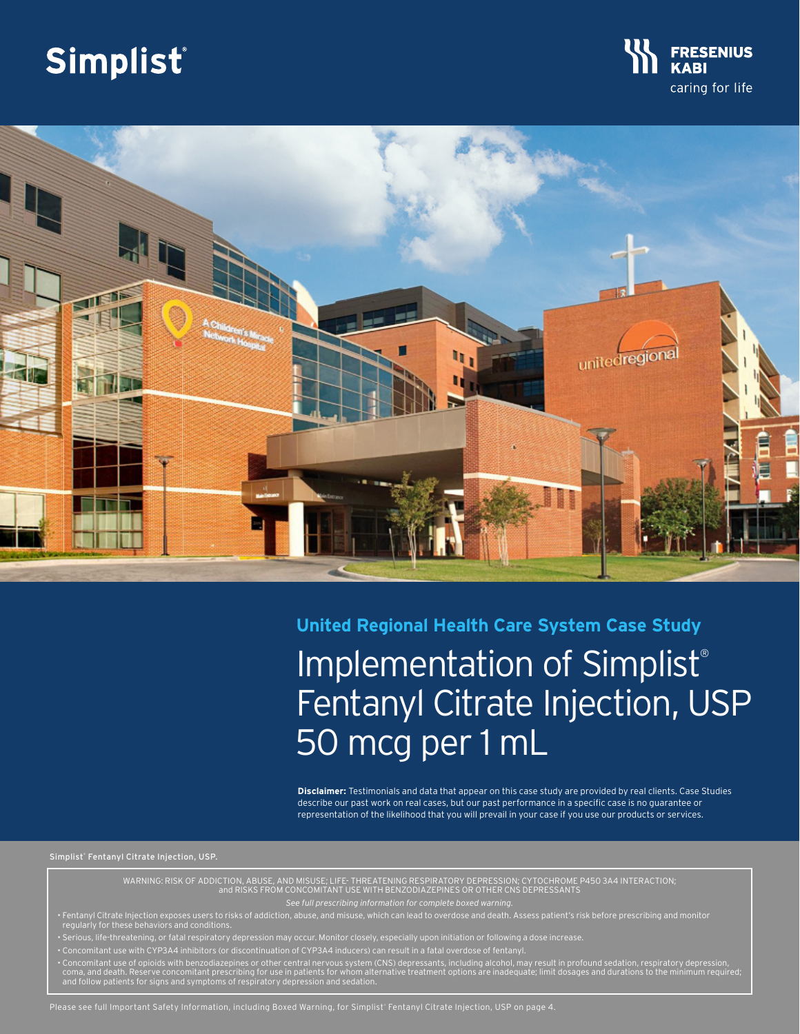# Simplist®





# **United Regional Health Care System Case Study**

# Implementation of Simplist® Fentanyl Citrate Injection, USP 50 mcg per 1 mL

**Disclaimer:** Testimonials and data that appear on this case study are provided by real clients. Case Studies describe our past work on real cases, but our past performance in a specific case is no guarantee or representation of the likelihood that you will prevail in your case if you use our products or services.

Simplist® Fentanyl Citrate Injection, USP.

WARNING: RISK OF ADDICTION, ABUSE, AND MISUSE; LIFE- THREATENING RESPIRATORY DEPRESSION; CYTOCHROME P450 3A4 INTERACTION; and RISKS FROM CONCOMITANT USE WITH BENZODIAZEPINES OR OTHER CNS DEPRESSANTS

*See full prescribing information for complete boxed warning.*

• Fentanyl Citrate Injection exposes users to risks of addiction, abuse, and misuse, which can lead to overdose and death. Assess patient's risk before prescribing and monitor regularly for these behaviors and conditions.

• Serious, life-threatening, or fatal respiratory depression may occur. Monitor closely, especially upon initiation or following a dose increase.

• Concomitant use with CYP3A4 inhibitors (or discontinuation of CYP3A4 inducers) can result in a fatal overdose of fentanyl.

• Concomitant use of opioids with benzodiazepines or other central nervous system (CNS) depressants, including alcohol, may result in profound sedation, respiratory depression,<br>Coma, and death. Reserve concomitant prescrib

Please see full Important Safety Information, including Boxed Warning, for Simplist® Fentanyl Citrate Injection, USP on page 4.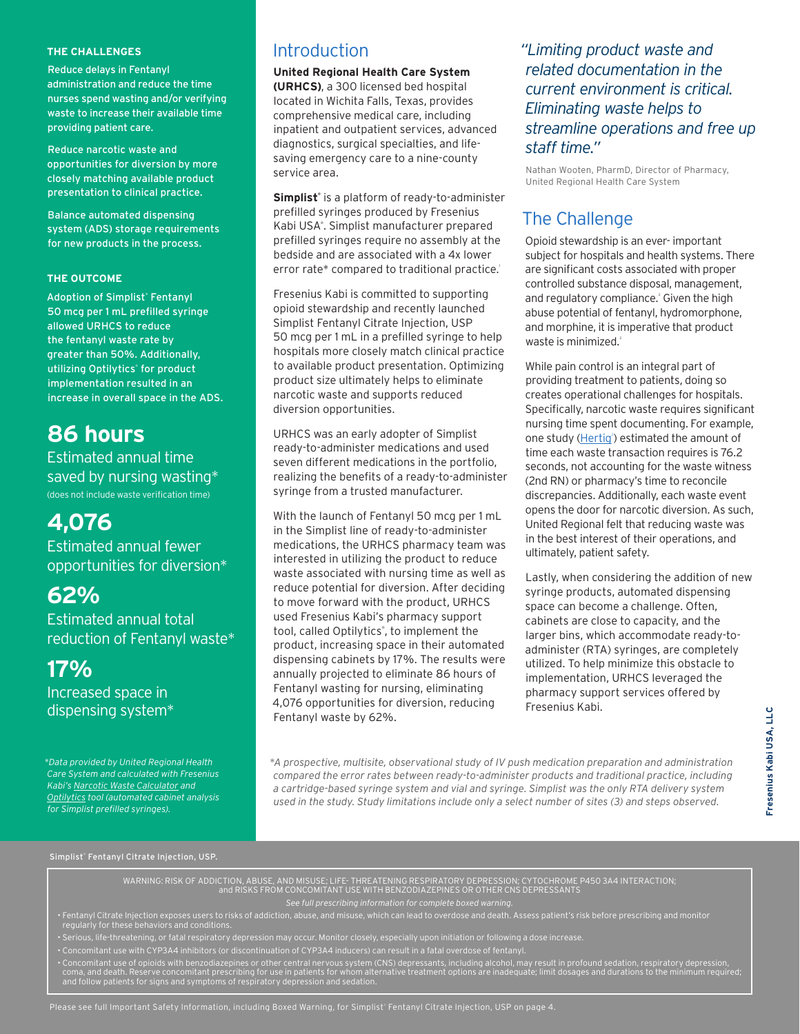#### **THE CHALLENGES**

Reduce delays in Fentanyl administration and reduce the time nurses spend wasting and/or verifying waste to increase their available time providing patient care.

Reduce narcotic waste and opportunities for diversion by more closely matching available product presentation to clinical practice.

Balance automated dispensing system (ADS) storage requirements for new products in the process.

#### **THE OUTCOME**

Adoption of Simplist® Fentanyl 50 mcg per 1 mL prefilled syringe allowed URHCS to reduce the fentanyl waste rate by greater than 50%. Additionally, utilizing Optilytics® for product implementation resulted in an increase in overall space in the ADS.

# **86 hours**

Estimated annual time saved by nursing wasting\* (does not include waste verification time)

# **4,076**

Estimated annual fewer opportunities for diversion\*

# **62%**

Estimated annual total reduction of Fentanyl waste\*

# **17%**

Increased space in dispensing system\*

*\*Data provided by United Regional Health Care System and calculated with Fresenius Kabi's [Narcotic Waste Calculator a](https://simplist-us.com/resources/waste-calculator/)nd [Optilytics t](https://simplist-us.com/resources/pharmacy-storage-support/)ool (automated cabinet analysis for Simplist prefilled syringes).*

### Introduction

**United Regional Health Care System (URHCS)**, a 300 licensed bed hospital located in Wichita Falls, Texas, provides comprehensive medical care, including inpatient and outpatient services, advanced diagnostics, surgical specialties, and lifesaving emergency care to a nine-county service area.

Simplist<sup>®</sup> is a platform of ready-to-administer prefilled syringes produced by Fresenius Kabi USA<sup>®</sup>. Simplist manufacturer prepared prefilled syringes require no assembly at the bedside and are associated with a 4x lower error rate\* compared to traditional practice.1

Fresenius Kabi is committed to supporting opioid stewardship and recently launched Simplist Fentanyl Citrate Injection, USP 50 mcg per 1 mL in a prefilled syringe to help hospitals more closely match clinical practice to available product presentation. Optimizing product size ultimately helps to eliminate narcotic waste and supports reduced diversion opportunities.

URHCS was an early adopter of Simplist ready-to-administer medications and used seven different medications in the portfolio, realizing the benefits of a ready-to-administer syringe from a trusted manufacturer.

With the launch of Fentanyl 50 mcg per 1 mL in the Simplist line of ready-to-administer medications, the URHCS pharmacy team was interested in utilizing the product to reduce waste associated with nursing time as well as reduce potential for diversion. After deciding to move forward with the product, URHCS used Fresenius Kabi's pharmacy support tool, called Optilytics® , to implement the product, increasing space in their automated dispensing cabinets by 17%. The results were annually projected to eliminate 86 hours of Fentanyl wasting for nursing, eliminating 4,076 opportunities for diversion, reducing Fentanyl waste by 62%.

*"Limiting product waste and related documentation in the current environment is critical. Eliminating waste helps to streamline operations and free up staff time."*

Nathan Wooten, PharmD, Director of Pharmacy, United Regional Health Care System

### The Challenge

Opioid stewardship is an ever- important subject for hospitals and health systems. There are significant costs associated with proper controlled substance disposal, management, and regulatory compliance.<sup>2</sup> Given the high abuse potential of fentanyl, hydromorphone, and morphine, it is imperative that product waste is minimized.<sup>2</sup>

While pain control is an integral part of providing treatment to patients, doing so creates operational challenges for hospitals. Specifically, narcotic waste requires significant nursing time spent documenting. For example, one study (Hertig<sup>2</sup>) estimated the amount of time each waste transaction requires is 76.2 seconds, not accounting for the waste witness (2nd RN) or pharmacy's time to reconcile discrepancies. Additionally, each waste event opens the door for narcotic diversion. As such, United Regional felt that reducing waste was in the best interest of their operations, and ultimately, patient safety.

Lastly, when considering the addition of new syringe products, automated dispensing space can become a challenge. Often, cabinets are close to capacity, and the larger bins, which accommodate ready-toadminister (RTA) syringes, are completely utilized. To help minimize this obstacle to implementation, URHCS leveraged the pharmacy support services offered by Fresenius Kabi.

*\*A prospective, multisite, observational study of IV push medication preparation and administration compared the error rates between ready-to-administer products and traditional practice, including a cartridge-based syringe system and vial and syringe. Simplist was the only RTA delivery system used in the study. Study limitations include only a select number of sites (3) and steps observed.*

Simplist® Fentanyl Citrate Injection, USP.

WARNING: RISK OF ADDICTION, ABUSE, AND MISUSE; LIFE- THREATENING RESPIRATORY DEPRESSION; CYTOCHROME P450 3A4 INTERACTION; and RISKS FROM CONCOMITANT USE WITH BENZODIAZEPINES OR OTHER CNS DEPRESSANTS

*See full prescribing information for complete boxed warning.*

• Fentanyl Citrate Injection exposes users to risks of addiction, abuse, and misuse, which can lead to overdose and death. Assess patient's risk before prescribing and monitor regularly for these behaviors and conditions.

- Serious, life-threatening, or fatal respiratory depression may occur. Monitor closely, especially upon initiation or following a dose increase.
- Concomitant use with CYP3A4 inhibitors (or discontinuation of CYP3A4 inducers) can result in a fatal overdose of fentanyl.

• Concomitant use of opioids with benzodiazepines or other central nervous system (CNS) depressants, including alcohol, may result in profound sedation, respiratory depression,<br>Coma, and death. Reserve concomitant prescrib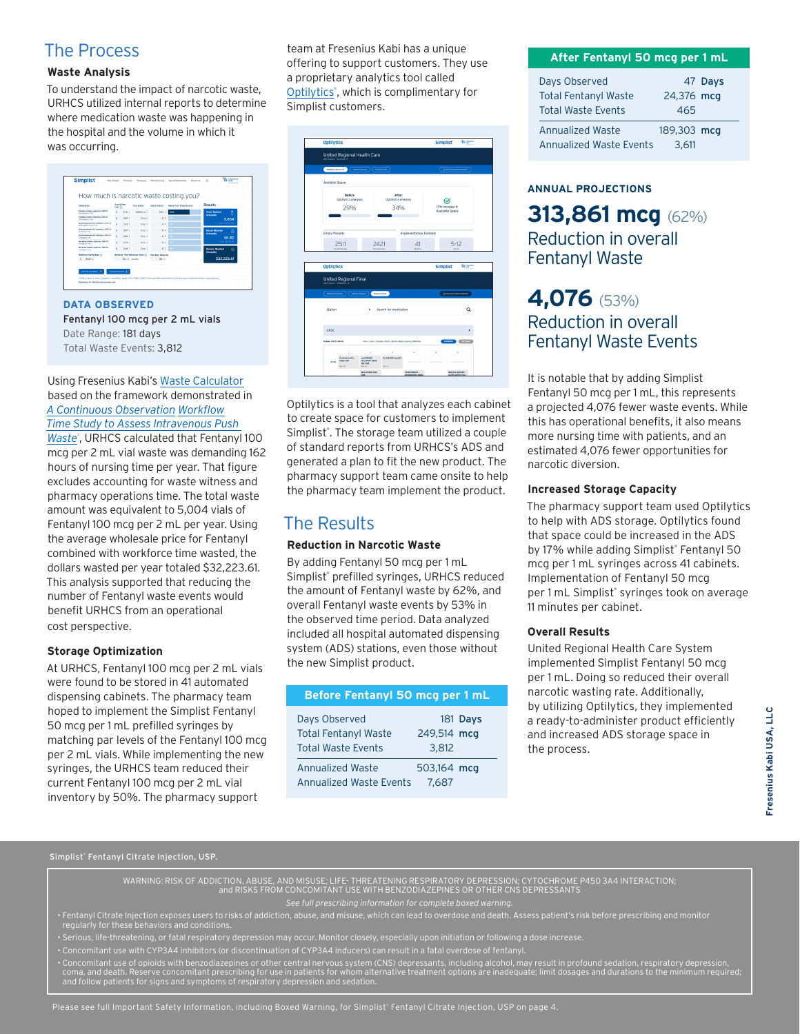### The Process

#### **Waste Analysis**

To understand the impact of narcotic waste, URHCS utilized internal reports to determine where medication waste was happening in the hospital and the volume in which it was occurring.



**DATA OBSERVED** Fentanyl 100 mcg per 2 mL vials Date Range: 181 days Total Waste Events: 3,812

#### Using Fresenius Kabi's [Waste Calculator](https://simplist-us.com/resources/waste-calculator/) based on the framework demonstrated in *A Continuous Observation Workflow [Time Study to Assess Intravenous Push](https://simplist-us.com/app/uploads/Hertig_TMS_IVPwaste.HospPharm.2020.pdf)*

Waste<sup>2</sup>, URHCS calculated that Fentanyl 100 mcg per 2 mL vial waste was demanding 162 hours of nursing time per year. That figure excludes accounting for waste witness and pharmacy operations time. The total waste amount was equivalent to 5,004 vials of Fentanyl 100 mcg per 2 mL per year. Using the average wholesale price for Fentanyl combined with workforce time wasted, the dollars wasted per year totaled \$32,223.61. This analysis supported that reducing the number of Fentanyl waste events would benefit URHCS from an operational cost perspective.

#### **Storage Optimization**

At URHCS, Fentanyl 100 mcg per 2 mL vials were found to be stored in 41 automated dispensing cabinets. The pharmacy team hoped to implement the Simplist Fentanyl 50 mcg per 1 mL prefilled syringes by matching par levels of the Fentanyl 100 mcg per 2 mL vials. While implementing the new syringes, the URHCS team reduced their current Fentanyl 100 mcg per 2 mL vial inventory by 50%. The pharmacy support

team at Fresenius Kabi has a unique offering to support customers. They use a proprietary analytics tool called Optilytics<sup>®</sup>, which is complimentary for Simplist customers.

|                                           | <b>Optilytics</b>                                                |                                                                                        |                                                              |            |                                           | We cannot<br><b>Simplist</b>          |
|-------------------------------------------|------------------------------------------------------------------|----------------------------------------------------------------------------------------|--------------------------------------------------------------|------------|-------------------------------------------|---------------------------------------|
| <b>ADC System - Omnices AT</b>            |                                                                  | <b>United Regional Health Care</b>                                                     |                                                              |            |                                           |                                       |
|                                           | <b>Cuttoties Summary</b><br>Calinet Changes<br><b>Drawn Mood</b> |                                                                                        |                                                              |            |                                           | <sup>2</sup> Download Cabinet Changes |
| Available Space                           |                                                                  |                                                                                        |                                                              |            |                                           |                                       |
|                                           | <b>Before</b><br>Optilytics analysis                             |                                                                                        | After<br>Optilytics analysis                                 |            |                                           |                                       |
| 29%                                       |                                                                  |                                                                                        | 34%                                                          |            | 17% Increase in<br><b>Available Space</b> |                                       |
| <b>Empty Pockets</b>                      |                                                                  |                                                                                        |                                                              |            | Implementation Estimate                   |                                       |
|                                           | 2511                                                             |                                                                                        | 2421<br>41                                                   |            |                                           | $5-12$                                |
| <b>Optilytics</b>                         |                                                                  |                                                                                        |                                                              |            |                                           |                                       |
|                                           |                                                                  |                                                                                        |                                                              |            |                                           |                                       |
| ADC System - CARECELL XT<br>Commissionery | <b>United Regional Final</b>                                     | Cabinet Changes                                                                        | Drawer Visual                                                |            |                                           | <b>D</b> Download Cabinet Changes     |
| Station                                   |                                                                  | ٠                                                                                      | Search for medication                                        |            |                                           | Q                                     |
| UR3C                                      |                                                                  |                                                                                        |                                                              |            |                                           |                                       |
| brawer CO-21-06-01                        |                                                                  |                                                                                        | Main   Zone 1   Drawer 06-01   36-3/n Metal Locking (OMNIS4) |            |                                           | CURRENT COTTAGE                       |
|                                           |                                                                  | s                                                                                      | ٠                                                            |            |                                           |                                       |
| 3106                                      | <b>FLUssating HOL</b><br><b>IDAS CAP</b><br>Fan 10               | eryCODOME<br><b>HELIAPAP 10/32</b><br><b>MATAB</b><br>Part 15<br><b>MELATONIN 3660</b> | GLUCAGON Ing KIT<br>Fer:2                                    | UNASSIMIST | LOCASSICATO                               | UNASSIONES                            |

Optilytics is a tool that analyzes each cabinet to create space for customers to implement Simplist®. The storage team utilized a couple of standard reports from URHCS's ADS and generated a plan to fit the new product. The pharmacy support team came onsite to help the pharmacy team implement the product.

# The Results

#### **Reduction in Narcotic Waste**

By adding Fentanyl 50 mcg per 1 mL Simplist® prefilled syringes, URHCS reduced the amount of Fentanyl waste by 62%, and overall Fentanyl waste events by 53% in the observed time period. Data analyzed included all hospital automated dispensing system (ADS) stations, even those without the new Simplist product.

| Before Fentanyl 50 mcg per 1 mL |             |
|---------------------------------|-------------|
| Days Observed                   | 181 Days    |
| <b>Total Fentanyl Waste</b>     | 249,514 mcg |
| <b>Total Waste Events</b>       | 3.812       |
| <b>Annualized Waste</b>         | 503,164 mcg |
| <b>Annualized Waste Events</b>  | 7.687       |

#### **After Fentanyl 50 mcg per 1 mL**

| Days Observed                  |             | 47 Days |
|--------------------------------|-------------|---------|
| <b>Total Fentanyl Waste</b>    | 24,376 mcg  |         |
| <b>Total Waste Events</b>      | 465         |         |
| <b>Annualized Waste</b>        | 189,303 mcg |         |
| <b>Annualized Waste Events</b> | 3.611       |         |

#### **ANNUAL PROJECTIONS**

## **313,861 mcg** (62%) Reduction in overall Fentanyl Waste

## **4,076** (53%) Reduction in overall Fentanyl Waste Events

It is notable that by adding Simplist Fentanyl 50 mcg per 1 mL, this represents a projected 4,076 fewer waste events. While this has operational benefits, it also means more nursing time with patients, and an estimated 4,076 fewer opportunities for narcotic diversion.

#### **Increased Storage Capacity**

The pharmacy support team used Optilytics to help with ADS storage. Optilytics found that space could be increased in the ADS by 17% while adding Simplist® Fentanyl 50 mcg per 1 mL syringes across 41 cabinets. Implementation of Fentanyl 50 mcg per 1 mL Simplist® syringes took on average 11 minutes per cabinet.

#### **Overall Results**

United Regional Health Care System implemented Simplist Fentanyl 50 mcg per 1 mL. Doing so reduced their overall narcotic wasting rate. Additionally, by utilizing Optilytics, they implemented a ready-to-administer product efficiently and increased ADS storage space in the process.

Simplist® Fentanyl Citrate Injection, USP.

WARNING: RISK OF ADDICTION, ABUSE, AND MISUSE; LIFE- THREATENING RESPIRATORY DEPRESSION; CYTOCHROME P450 3A4 INTERACTION; and RISKS FROM CONCOMITANT USE WITH BENZODIAZEPINES OR OTHER CNS DEPRESSANTS

*See full prescribing information for complete boxed warning.*

• Fentanyl Citrate Injection exposes users to risks of addiction, abuse, and misuse, which can lead to overdose and death. Assess patient's risk before prescribing and monitor regularly for these behaviors and conditions.

- Serious, life-threatening, or fatal respiratory depression may occur. Monitor closely, especially upon initiation or following a dose increase.
- Concomitant use with CYP3A4 inhibitors (or discontinuation of CYP3A4 inducers) can result in a fatal overdose of fentanyl.

• Concomitant use of opioids with benzodiazepines or other central nervous system (CNS) depressants, including alcohol, may result in profound sedation, respiratory depression,<br>Coma, and death. Reserve concomitant prescrib